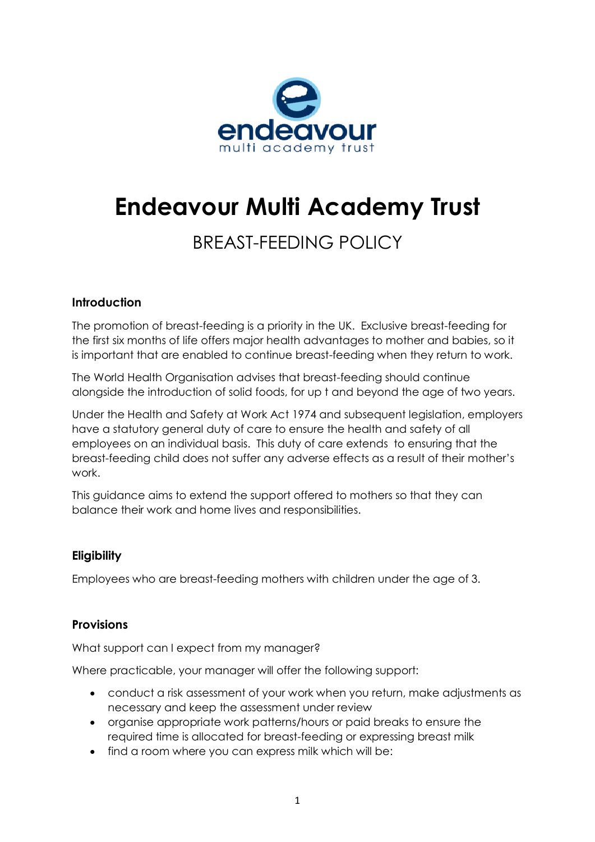

# **Endeavour Multi Academy Trust**

# BREAST-FEEDING POLICY

# **Introduction**

The promotion of breast-feeding is a priority in the UK. Exclusive breast-feeding for the first six months of life offers major health advantages to mother and babies, so it is important that are enabled to continue breast-feeding when they return to work.

The World Health Organisation advises that breast-feeding should continue alongside the introduction of solid foods, for up t and beyond the age of two years.

Under the Health and Safety at Work Act 1974 and subsequent legislation, employers have a statutory general duty of care to ensure the health and safety of all employees on an individual basis. This duty of care extends to ensuring that the breast-feeding child does not suffer any adverse effects as a result of their mother's work.

This guidance aims to extend the support offered to mothers so that they can balance their work and home lives and responsibilities.

# **Eligibility**

Employees who are breast-feeding mothers with children under the age of 3.

# **Provisions**

What support can I expect from my manager?

Where practicable, your manager will offer the following support:

- conduct a risk assessment of your work when you return, make adjustments as necessary and keep the assessment under review
- organise appropriate work patterns/hours or paid breaks to ensure the required time is allocated for breast-feeding or expressing breast milk
- find a room where you can express milk which will be: